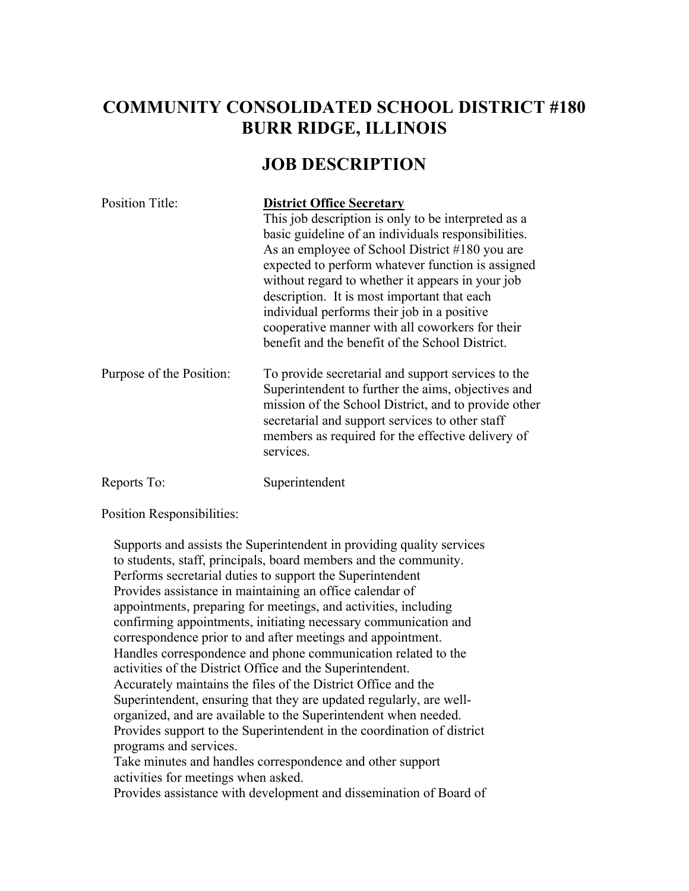## **COMMUNITY CONSOLIDATED SCHOOL DISTRICT #180 BURR RIDGE, ILLINOIS**

## **JOB DESCRIPTION**

| <b>Position Title:</b>   | <b>District Office Secretary</b>                                                                                                                                                                                                                                                      |
|--------------------------|---------------------------------------------------------------------------------------------------------------------------------------------------------------------------------------------------------------------------------------------------------------------------------------|
|                          | This job description is only to be interpreted as a                                                                                                                                                                                                                                   |
|                          | basic guideline of an individuals responsibilities.                                                                                                                                                                                                                                   |
|                          | As an employee of School District #180 you are                                                                                                                                                                                                                                        |
|                          | expected to perform whatever function is assigned                                                                                                                                                                                                                                     |
|                          | without regard to whether it appears in your job                                                                                                                                                                                                                                      |
|                          | description. It is most important that each                                                                                                                                                                                                                                           |
|                          | individual performs their job in a positive                                                                                                                                                                                                                                           |
|                          | cooperative manner with all coworkers for their                                                                                                                                                                                                                                       |
|                          | benefit and the benefit of the School District.                                                                                                                                                                                                                                       |
| Purpose of the Position: | To provide secretarial and support services to the<br>Superintendent to further the aims, objectives and<br>mission of the School District, and to provide other<br>secretarial and support services to other staff<br>members as required for the effective delivery of<br>services. |
| Reports To:              | Superintendent                                                                                                                                                                                                                                                                        |
|                          |                                                                                                                                                                                                                                                                                       |

Position Responsibilities:

Supports and assists the Superintendent in providing quality services to students, staff, principals, board members and the community. Performs secretarial duties to support the Superintendent Provides assistance in maintaining an office calendar of appointments, preparing for meetings, and activities, including confirming appointments, initiating necessary communication and correspondence prior to and after meetings and appointment. Handles correspondence and phone communication related to the activities of the District Office and the Superintendent. Accurately maintains the files of the District Office and the Superintendent, ensuring that they are updated regularly, are wellorganized, and are available to the Superintendent when needed. Provides support to the Superintendent in the coordination of district programs and services. Take minutes and handles correspondence and other support activities for meetings when asked.

Provides assistance with development and dissemination of Board of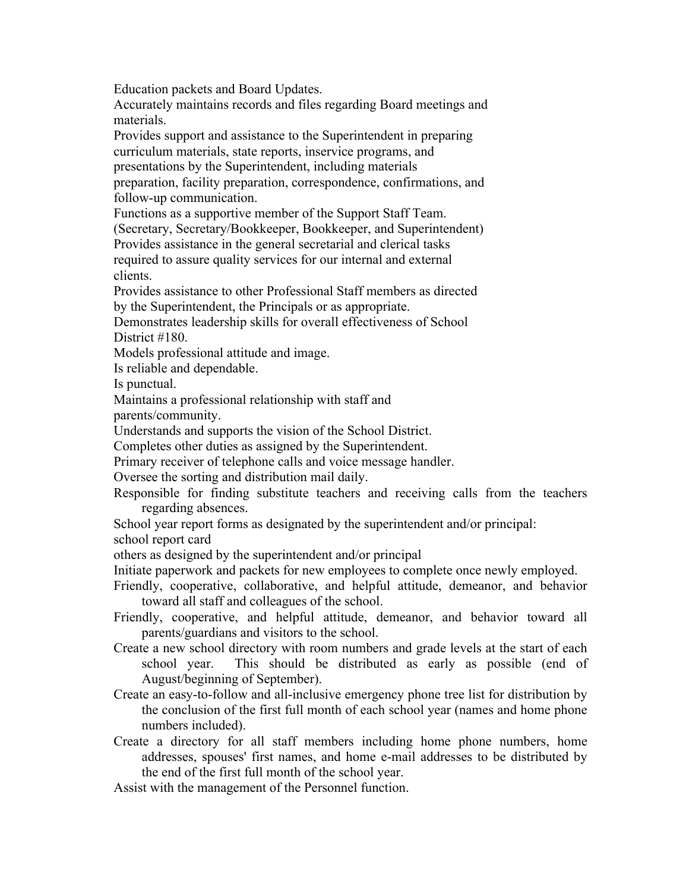Education packets and Board Updates.

Accurately maintains records and files regarding Board meetings and materials.

Provides support and assistance to the Superintendent in preparing curriculum materials, state reports, inservice programs, and presentations by the Superintendent, including materials preparation, facility preparation, correspondence, confirmations, and follow-up communication.

Functions as a supportive member of the Support Staff Team.

(Secretary, Secretary/Bookkeeper, Bookkeeper, and Superintendent)

Provides assistance in the general secretarial and clerical tasks required to assure quality services for our internal and external clients.

Provides assistance to other Professional Staff members as directed by the Superintendent, the Principals or as appropriate.

Demonstrates leadership skills for overall effectiveness of School District #180.

Models professional attitude and image.

Is reliable and dependable.

Is punctual.

Maintains a professional relationship with staff and

parents/community.

Understands and supports the vision of the School District.

Completes other duties as assigned by the Superintendent.

Primary receiver of telephone calls and voice message handler.

Oversee the sorting and distribution mail daily.

- Responsible for finding substitute teachers and receiving calls from the teachers regarding absences.
- School year report forms as designated by the superintendent and/or principal:

school report card

others as designed by the superintendent and/or principal

Initiate paperwork and packets for new employees to complete once newly employed.

- Friendly, cooperative, collaborative, and helpful attitude, demeanor, and behavior toward all staff and colleagues of the school.
- Friendly, cooperative, and helpful attitude, demeanor, and behavior toward all parents/guardians and visitors to the school.
- Create a new school directory with room numbers and grade levels at the start of each school year. This should be distributed as early as possible (end of August/beginning of September).
- Create an easy-to-follow and all-inclusive emergency phone tree list for distribution by the conclusion of the first full month of each school year (names and home phone numbers included).
- Create a directory for all staff members including home phone numbers, home addresses, spouses' first names, and home e-mail addresses to be distributed by the end of the first full month of the school year.

Assist with the management of the Personnel function.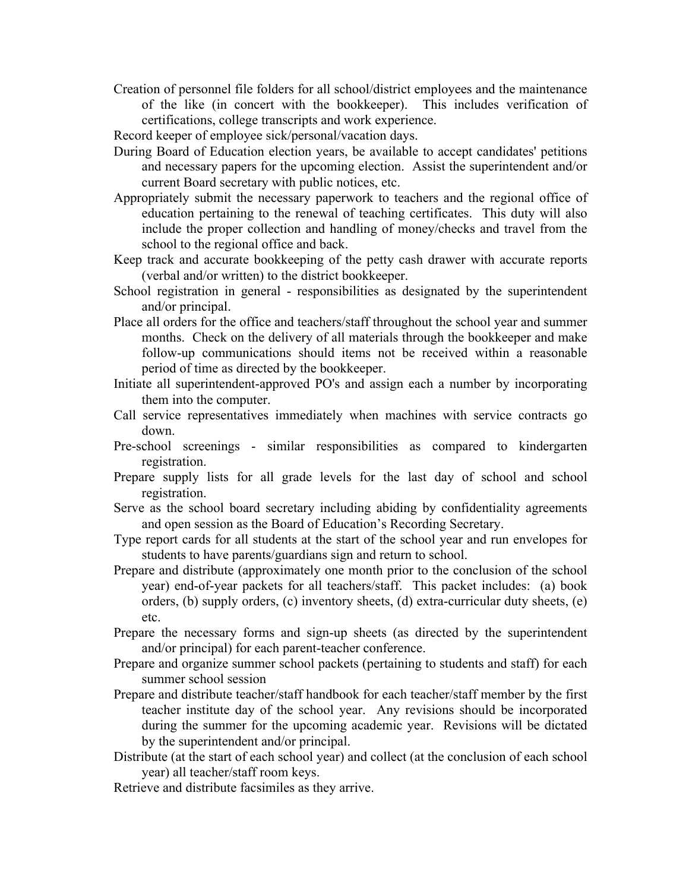- Creation of personnel file folders for all school/district employees and the maintenance of the like (in concert with the bookkeeper). This includes verification of certifications, college transcripts and work experience.
- Record keeper of employee sick/personal/vacation days.
- During Board of Education election years, be available to accept candidates' petitions and necessary papers for the upcoming election. Assist the superintendent and/or current Board secretary with public notices, etc.
- Appropriately submit the necessary paperwork to teachers and the regional office of education pertaining to the renewal of teaching certificates. This duty will also include the proper collection and handling of money/checks and travel from the school to the regional office and back.
- Keep track and accurate bookkeeping of the petty cash drawer with accurate reports (verbal and/or written) to the district bookkeeper.
- School registration in general responsibilities as designated by the superintendent and/or principal.
- Place all orders for the office and teachers/staff throughout the school year and summer months. Check on the delivery of all materials through the bookkeeper and make follow-up communications should items not be received within a reasonable period of time as directed by the bookkeeper.
- Initiate all superintendent-approved PO's and assign each a number by incorporating them into the computer.
- Call service representatives immediately when machines with service contracts go down.
- Pre-school screenings similar responsibilities as compared to kindergarten registration.
- Prepare supply lists for all grade levels for the last day of school and school registration.
- Serve as the school board secretary including abiding by confidentiality agreements and open session as the Board of Education's Recording Secretary.
- Type report cards for all students at the start of the school year and run envelopes for students to have parents/guardians sign and return to school.
- Prepare and distribute (approximately one month prior to the conclusion of the school year) end-of-year packets for all teachers/staff. This packet includes: (a) book orders, (b) supply orders, (c) inventory sheets, (d) extra-curricular duty sheets, (e) etc.
- Prepare the necessary forms and sign-up sheets (as directed by the superintendent and/or principal) for each parent-teacher conference.
- Prepare and organize summer school packets (pertaining to students and staff) for each summer school session
- Prepare and distribute teacher/staff handbook for each teacher/staff member by the first teacher institute day of the school year. Any revisions should be incorporated during the summer for the upcoming academic year. Revisions will be dictated by the superintendent and/or principal.
- Distribute (at the start of each school year) and collect (at the conclusion of each school year) all teacher/staff room keys.
- Retrieve and distribute facsimiles as they arrive.